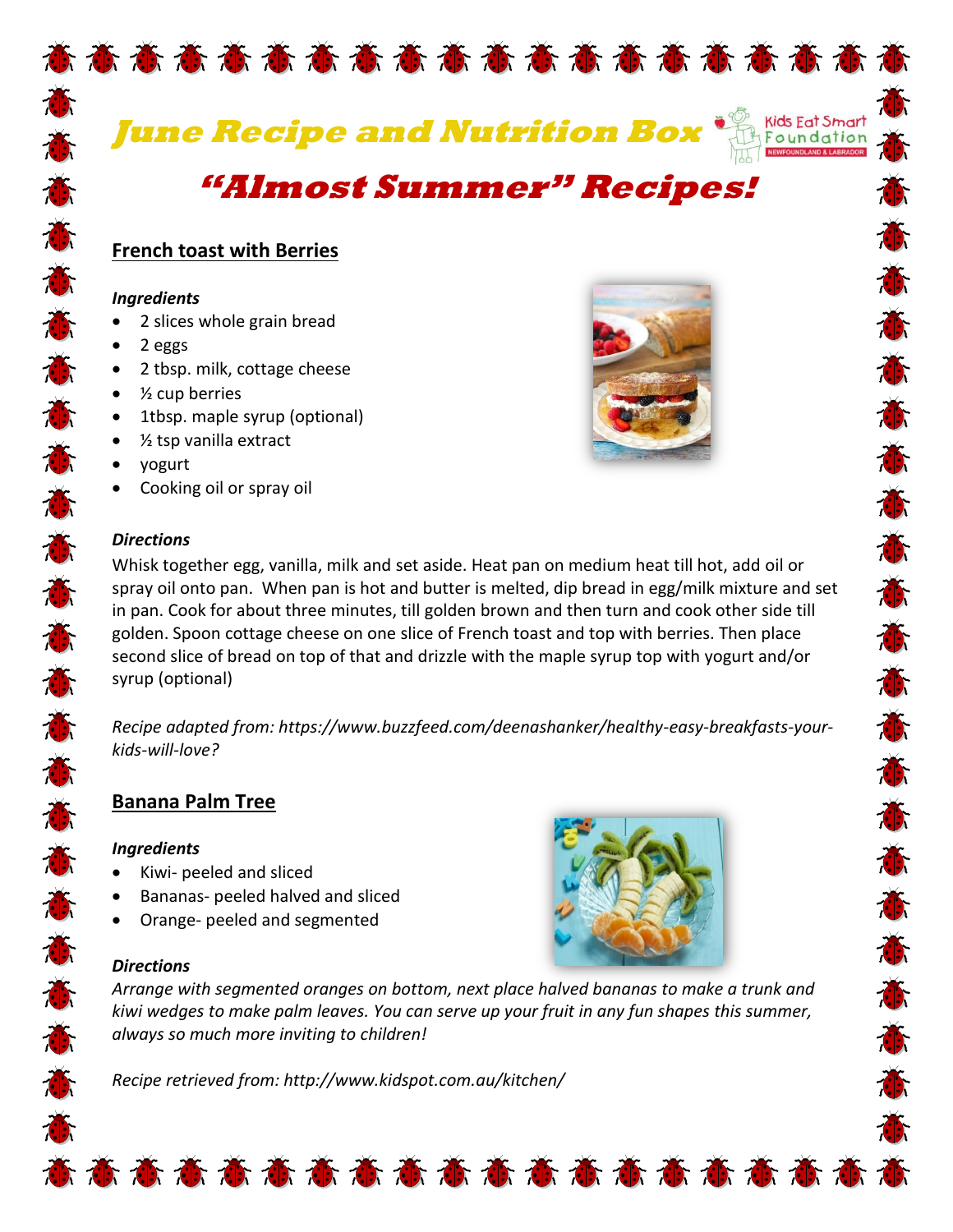

**June Recipe and Nutrition Box**



Ŏ

高高高高高高高高高

Č

Ť

意意意

# **"Almost Summer" Recipes!**

## **French toast with Berries**

#### *Ingredients*

- 2 slices whole grain bread
- $\bullet$  2 eggs
- 2 tbsp. milk, cottage cheese
- $\bullet$  % cup berries
- 1tbsp. maple syrup (optional)
- ½ tsp vanilla extract
- yogurt
- Cooking oil or spray oil



#### *Directions*

的态态态态态态态态态态态态态态态态态态

Whisk together egg, vanilla, milk and set aside. Heat pan on medium heat till hot, add oil or spray oil onto pan. When pan is hot and butter is melted, dip bread in egg/milk mixture and set in pan. Cook for about three minutes, till golden brown and then turn and cook other side till golden. Spoon cottage cheese on one slice of French toast and top with berries. Then place second slice of bread on top of that and drizzle with the maple syrup top with yogurt and/or syrup (optional)

*Recipe adapted from: https://www.buzzfeed.com/deenashanker/healthy-easy-breakfasts-yourkids-will-love?*

### **Banana Palm Tree**

#### *Ingredients*

- Kiwi- peeled and sliced
- Bananas- peeled halved and sliced
- Orange- peeled and segmented

### *Directions*

*Arrange with segmented oranges on bottom, next place halved bananas to make a trunk and kiwi wedges to make palm leaves. You can serve up your fruit in any fun shapes this summer, always so much more inviting to children!*

意意意意意意意意意意意意意意意意意意意意

*Recipe retrieved from: http://www.kidspot.com.au/kitchen/*